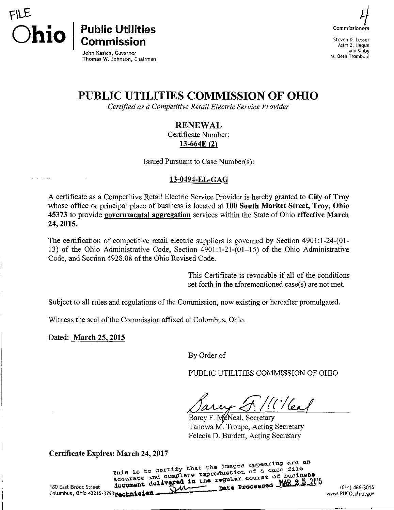



Steven D. Lesser Asim Z. Haque Lynn Slaby M. 8eth Trombold

John Kasich, Governor Thomas W. Johnson, Chairman

# PUBLIC UTILITIES COMMISSION OF OHIO

Certified as a Competitive Retail Electric Service Provider

#### **RENEWAL**

Certificate Number: 13-664E (2)

Issued Pursuant to Case Number(s):

#### 13-0494-EL-GAG

A certificate as a Competitive Retail Electric Service Provider is hereby granted to City of Troy whose office or principal place of business is located at 100 South Market Street, Troy, Ohio 45373 to provide governmental aggregation services within the State of Ohio effective March 24, 2015.

The certification of competitive retail electric suppliers is governed by Section 4901:l-24-(01- 13) of the Ohio Administrative Code, Section 4901:1-21-(01-15) of the Ohio Administrative Code, and Section 4928.08 of the Ohio Revised Code.

> This Certificate is revocable if all of the conditions set forth in the aforementioned case(s) are not met.

Subject to all rules and regulations of the Commission, now existing or hereafter promulgated.

Witness the seal of the Commission affixed at Columbus, Ohio.

Dated: March 25.2015

By Order of

PUBLIC UTILITIES COMMISSION OF OHIO

 $^{\prime\prime}$  (  $^{\prime\prime}$  / Cen

Barcy F. McNeal, Secretary Tanowa M. Troupe, Acting Secretary Felecia D. Burdett, Acting Secretary

Certificate Expires: March 24, 2017<br>This is to certify that the images appearing are an end of the term is to certify that the images appearing are an 190 East Broad Street in a complete reproduction of a case file<br>accurate and complete regular course of business<br>Date Processed JAR 2.5.2016 Columbus, Ohio 43215-3793**@echnicial@imageda.com/20fc/alogov/20fc/alogov/20fc/alogov/20fcjalov/20fcjalo**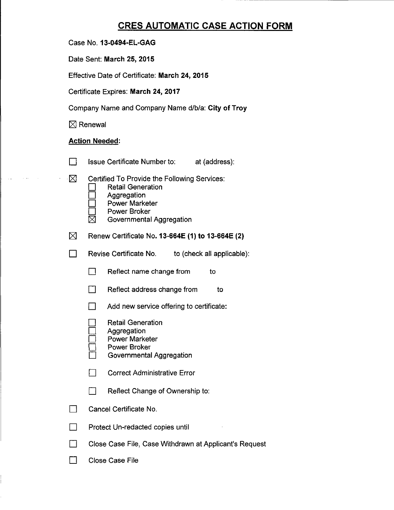### **CRES AUTOMATIC CASE ACTION FORM**

Date Sent: March 25, 2015

Effective Date of Certificate: March 24, 2015

Certificate Expires: March 24, 2017

Company Name and Company Name d/b/a: City of Troy

 $\boxtimes$  Renewal

#### Action Needed:

- **Example 3** Issue Certificate Number to: at (address):
- $\boxtimes$  Certified To Provide the Following Services:
	- **Retail Generation**
	- **Aggregation**
	- Power Marketer
	- □ Power Broker<br>⊠ Governmental
	- Governmental Aggregation
- $\boxtimes$  Renew Certificate No. 13-664E (1) to 13-664E (2)
- **Example 2** Revise Certificate No. to (check all applicable):
	- $\Box$  Reflect name change from to
	- $\Box$  Reflect address change from to
	- $\Box$  Add new service offering to certificate:
	- **Retail Generation**
	- Aggregation
	- Power Marketer
	- Power Broker
	- Governmental Aggregation
	- □ Correct Administrative Error
	- $\Box$  Reflect Change of Ownership to:
- $\Box$  Cancel Certificate No.
- $\Box$  Protect Un-redacted copies until
- **n Close Case File, Case Withdrawn at Applicant's Request**
- $\Box$  Close Case File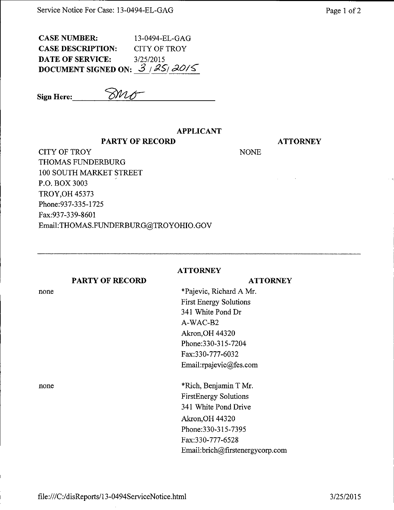| CASE NUMBER:                    | 13-0494-EL-GAG |
|---------------------------------|----------------|
| <b>CASE DESCRIPTION:</b>        | CITY OF TROY   |
| DATE OF SERVICE:                | 3/25/2015      |
| DOCUMENT SIGNED ON: $3/25/20/5$ |                |

Sign Here:  $\mathcal{SMO}$ 

none

#### APPLICANT

#### PARTY OF RECORD

## **ATTORNEY**

**NONE** 

CITY OF TROY THOMAS FUNDERBURG 100 SOUTH MARKET STREET P.O. BOX 3003 TROY,OH 45373 Phone:937-335-1725 Fax:937-339-8601 Email:THOMAS.FUNDERBURG@TROYOHIO.GOV

PARTY OF RECORD

#### **ATTORNEY**

**ATTORNEY** 

\*Pajevic, Richard A Mr. First Energy Solutions 341 White Pond Dr A-WAC-B2 Akron,OH 44320 Phone:330-315-7204 Fax:330-777-6032 Email[:rpajevic@fes.com](mailto:rpajevic@fes.com) 

none \*Rich, Benjamin T Mr. FirstEnergy Solutions 341 White Pond Drive Akron,OH 44320 Phone:330-315-7395 Fax:330-777-6528 Email:brich@firstenergycorp.com